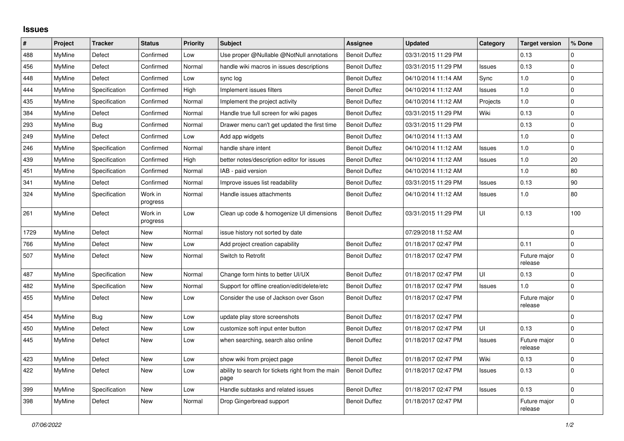## **Issues**

| #    | Project       | <b>Tracker</b> | <b>Status</b>       | <b>Priority</b> | <b>Subject</b>                                            | <b>Assignee</b>      | <b>Updated</b>      | Category      | <b>Target version</b>   | % Done              |
|------|---------------|----------------|---------------------|-----------------|-----------------------------------------------------------|----------------------|---------------------|---------------|-------------------------|---------------------|
| 488  | <b>MyMine</b> | Defect         | Confirmed           | Low             | Use proper @Nullable @NotNull annotations                 | <b>Benoit Duffez</b> | 03/31/2015 11:29 PM |               | 0.13                    | $\Omega$            |
| 456  | MyMine        | Defect         | Confirmed           | Normal          | handle wiki macros in issues descriptions                 | <b>Benoit Duffez</b> | 03/31/2015 11:29 PM | Issues        | 0.13                    | $\mathbf 0$         |
| 448  | <b>MyMine</b> | Defect         | Confirmed           | Low             | sync log                                                  | <b>Benoit Duffez</b> | 04/10/2014 11:14 AM | Sync          | 1.0                     | $\mathbf 0$         |
| 444  | <b>MyMine</b> | Specification  | Confirmed           | High            | Implement issues filters                                  | <b>Benoit Duffez</b> | 04/10/2014 11:12 AM | Issues        | 1.0                     | $\pmb{0}$           |
| 435  | MyMine        | Specification  | Confirmed           | Normal          | Implement the project activity                            | <b>Benoit Duffez</b> | 04/10/2014 11:12 AM | Projects      | 1.0                     | $\overline{0}$      |
| 384  | MyMine        | Defect         | Confirmed           | Normal          | Handle true full screen for wiki pages                    | <b>Benoit Duffez</b> | 03/31/2015 11:29 PM | Wiki          | 0.13                    | $\mathbf 0$         |
| 293  | MyMine        | <b>Bug</b>     | Confirmed           | Normal          | Drawer menu can't get updated the first time              | <b>Benoit Duffez</b> | 03/31/2015 11:29 PM |               | 0.13                    | $\mathbf 0$         |
| 249  | MyMine        | Defect         | Confirmed           | Low             | Add app widgets                                           | <b>Benoit Duffez</b> | 04/10/2014 11:13 AM |               | 1.0                     | $\mathbf 0$         |
| 246  | <b>MyMine</b> | Specification  | Confirmed           | Normal          | handle share intent                                       | <b>Benoit Duffez</b> | 04/10/2014 11:12 AM | Issues        | 1.0                     | $\mathbf 0$         |
| 439  | MyMine        | Specification  | Confirmed           | High            | better notes/description editor for issues                | <b>Benoit Duffez</b> | 04/10/2014 11:12 AM | <b>Issues</b> | 1.0                     | 20                  |
| 451  | MyMine        | Specification  | Confirmed           | Normal          | IAB - paid version                                        | <b>Benoit Duffez</b> | 04/10/2014 11:12 AM |               | 1.0                     | 80                  |
| 341  | MyMine        | Defect         | Confirmed           | Normal          | Improve issues list readability                           | <b>Benoit Duffez</b> | 03/31/2015 11:29 PM | Issues        | 0.13                    | 90                  |
| 324  | MyMine        | Specification  | Work in<br>progress | Normal          | Handle issues attachments                                 | <b>Benoit Duffez</b> | 04/10/2014 11:12 AM | <b>Issues</b> | 1.0                     | 80                  |
| 261  | MyMine        | Defect         | Work in<br>progress | Low             | Clean up code & homogenize UI dimensions                  | <b>Benoit Duffez</b> | 03/31/2015 11:29 PM | UI            | 0.13                    | 100                 |
| 1729 | MyMine        | Defect         | New                 | Normal          | issue history not sorted by date                          |                      | 07/29/2018 11:52 AM |               |                         | $\mathbf 0$         |
| 766  | <b>MyMine</b> | Defect         | New                 | Low             | Add project creation capability                           | <b>Benoit Duffez</b> | 01/18/2017 02:47 PM |               | 0.11                    | $\mathbf 0$         |
| 507  | MyMine        | Defect         | New                 | Normal          | Switch to Retrofit                                        | <b>Benoit Duffez</b> | 01/18/2017 02:47 PM |               | Future major<br>release | $\mathsf{O}\xspace$ |
| 487  | MyMine        | Specification  | <b>New</b>          | Normal          | Change form hints to better UI/UX                         | <b>Benoit Duffez</b> | 01/18/2017 02:47 PM | UI            | 0.13                    | $\Omega$            |
| 482  | MyMine        | Specification  | <b>New</b>          | Normal          | Support for offline creation/edit/delete/etc              | <b>Benoit Duffez</b> | 01/18/2017 02:47 PM | Issues        | 1.0                     | $\overline{0}$      |
| 455  | MyMine        | Defect         | <b>New</b>          | Low             | Consider the use of Jackson over Gson                     | <b>Benoit Duffez</b> | 01/18/2017 02:47 PM |               | Future major<br>release | $\mathbf 0$         |
| 454  | <b>MyMine</b> | <b>Bug</b>     | <b>New</b>          | Low             | update play store screenshots                             | <b>Benoit Duffez</b> | 01/18/2017 02:47 PM |               |                         | $\mathbf 0$         |
| 450  | <b>MyMine</b> | Defect         | New                 | Low             | customize soft input enter button                         | <b>Benoit Duffez</b> | 01/18/2017 02:47 PM | UI            | 0.13                    | 0                   |
| 445  | MyMine        | Defect         | New                 | Low             | when searching, search also online                        | <b>Benoit Duffez</b> | 01/18/2017 02:47 PM | Issues        | Future major<br>release | 0                   |
| 423  | MyMine        | Defect         | New                 | Low             | show wiki from project page                               | <b>Benoit Duffez</b> | 01/18/2017 02:47 PM | Wiki          | 0.13                    | $\pmb{0}$           |
| 422  | MyMine        | Defect         | New                 | Low             | ability to search for tickets right from the main<br>page | <b>Benoit Duffez</b> | 01/18/2017 02:47 PM | Issues        | 0.13                    | $\Omega$            |
| 399  | MyMine        | Specification  | New                 | Low             | Handle subtasks and related issues                        | <b>Benoit Duffez</b> | 01/18/2017 02:47 PM | <b>Issues</b> | 0.13                    | $\Omega$            |
| 398  | MyMine        | Defect         | <b>New</b>          | Normal          | Drop Gingerbread support                                  | <b>Benoit Duffez</b> | 01/18/2017 02:47 PM |               | Future major<br>release | $\mathbf 0$         |